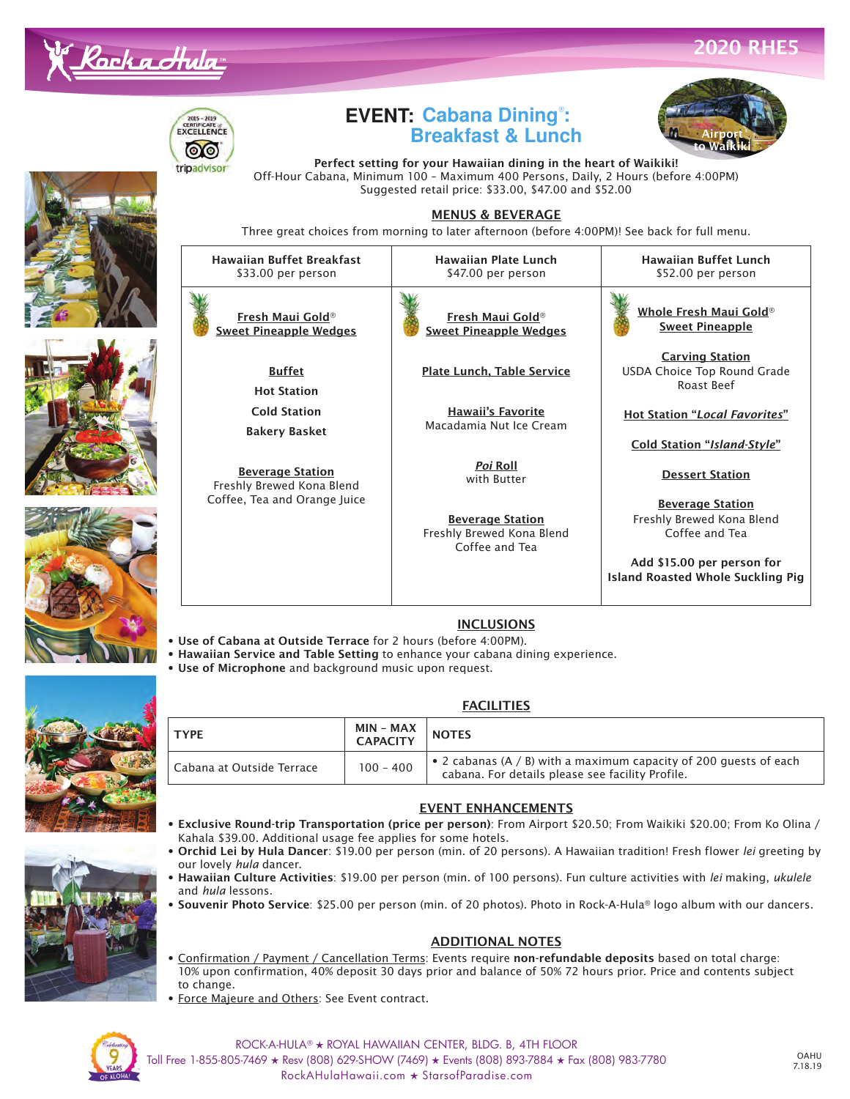



Haw

### **EVENT: Cabana Dining**® **: Breakfast & Lunch**



Perfect setting for your Hawaiian dining in the heart of Waikiki! Off-Hour Cabana, Minimum 100 – Maximum 400 Persons, Daily, 2 Hours (before 4:00PM) Suggested retail price: \$33.00, \$47.00 and \$52.00

#### MENUS & BEVERAGE

Three great choices from morning to later afternoon (before 4:00PM)! See back for full menu.









| Hawaiian Buffet Breakfast<br>\$33.00 per person      | <b>Hawaiian Plate Lunch</b><br>\$47.00 per person                      | <b>Hawaiian Buffet Lunch</b><br>\$52.00 per person                     |
|------------------------------------------------------|------------------------------------------------------------------------|------------------------------------------------------------------------|
| Fresh Maui Gold®<br><b>Sweet Pineapple Wedges</b>    | Fresh Maui Gold®<br><b>Sweet Pineapple Wedges</b>                      | Whole Fresh Maui Gold®<br><b>Sweet Pineapple</b>                       |
| <b>Buffet</b><br><b>Hot Station</b>                  | Plate Lunch, Table Service                                             | <b>Carving Station</b><br>USDA Choice Top Round Grade<br>Roast Beef    |
| <b>Cold Station</b><br><b>Bakery Basket</b>          | <b>Hawaii's Favorite</b><br>Macadamia Nut Ice Cream                    | <b>Hot Station "Local Favorites"</b>                                   |
|                                                      |                                                                        | Cold Station "Island-Style"                                            |
| <b>Beverage Station</b><br>Freshly Brewed Kona Blend | <i>Poi</i> Roll<br>with Butter                                         | <b>Dessert Station</b>                                                 |
| offee, Tea and Orange Juice                          | <b>Beverage Station</b><br>Freshly Brewed Kona Blend<br>Coffee and Tea | <b>Beverage Station</b><br>Freshly Brewed Kona Blend<br>Coffee and Tea |
|                                                      |                                                                        | Add \$15.00 per person for<br><b>Island Roasted Whole Suckling Pig</b> |

#### **INCLUSIONS**

- Use of Cabana at Outside Terrace for 2 hours (before 4:00PM).
- Hawaiian Service and Table Setting to enhance your cabana dining experience.
	- Use of Microphone and background music upon request.



#### **FACILITIES**

| <b>TYPF</b>               | MIN – MAX<br><b>CAPACITY</b> | <b>NOTES</b>                                                                                                            |
|---------------------------|------------------------------|-------------------------------------------------------------------------------------------------------------------------|
| Cabana at Outside Terrace | $100 - 400$                  | • 2 cabanas (A $/$ B) with a maximum capacity of 200 quests of each<br>cabana. For details please see facility Profile. |

#### EVENT ENHANCEMENTS

- Exclusive Round-trip Transportation (price per person): From Airport \$20.50; From Waikiki \$20.00; From Ko Olina / Kahala \$39.00. Additional usage fee applies for some hotels.
- Orchid Lei by Hula Dancer: \$19.00 per person (min. of 20 persons). A Hawaiian tradition! Fresh flower *lei* greeting by our lovely *hula* dancer.
- Hawaiian Culture Activities: \$19.00 per person (min. of 100 persons). Fun culture activities with *lei* making, *ukulele* and *hula* lessons.
- Souvenir Photo Service: \$25.00 per person (min. of 20 photos). Photo in Rock-A-Hula**®** logo album with our dancers.

#### ADDITIONAL NOTES

- Confirmation / Payment / Cancellation Terms: Events require non-refundable deposits based on total charge: 10% upon confirmation, 40% deposit 30 days prior and balance of 50% 72 hours prior. Price and contents subject to change.
- Force Majeure and Others: See Event contract.